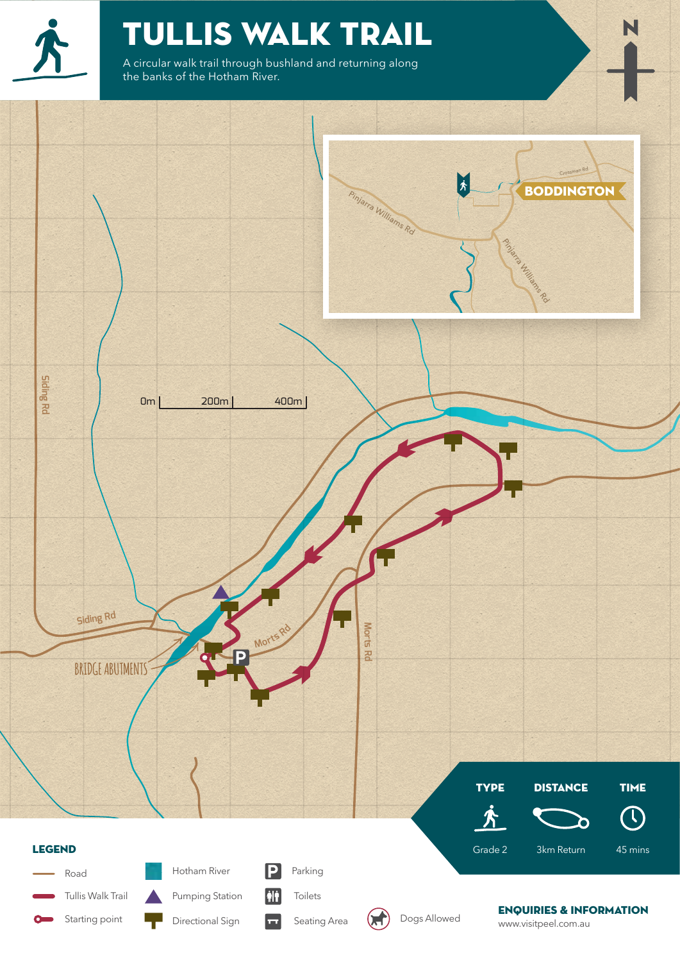